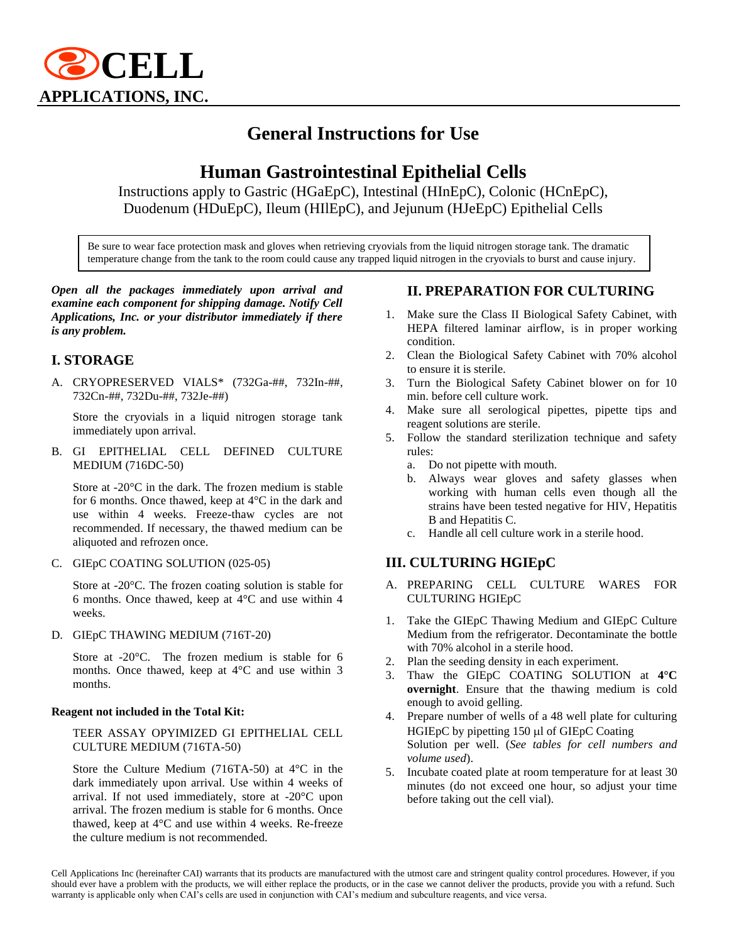

# **General Instructions for Use**

# **Human Gastrointestinal Epithelial Cells**

Instructions apply to Gastric (HGaEpC), Intestinal (HInEpC), Colonic (HCnEpC), Duodenum (HDuEpC), Ileum (HIlEpC), and Jejunum (HJeEpC) Epithelial Cells

Be sure to wear face protection mask and gloves when retrieving cryovials from the liquid nitrogen storage tank. The dramatic temperature change from the tank to the room could cause any trapped liquid nitrogen in the cryovials to burst and cause injury.

*Open all the packages immediately upon arrival and examine each component for shipping damage. Notify Cell Applications, Inc. or your distributor immediately if there is any problem.*

## **I. STORAGE**

A. CRYOPRESERVED VIALS\* (732Ga-##, 732In-##, 732Cn-##, 732Du-##, 732Je-##)

Store the cryovials in a liquid nitrogen storage tank immediately upon arrival.

B. GI EPITHELIAL CELL DEFINED CULTURE MEDIUM (716DC-50)

Store at -20°C in the dark. The frozen medium is stable for 6 months. Once thawed, keep at 4°C in the dark and use within 4 weeks. Freeze-thaw cycles are not recommended. If necessary, the thawed medium can be aliquoted and refrozen once.

C. GIEpC COATING SOLUTION (025-05)

Store at -20°C. The frozen coating solution is stable for 6 months. Once thawed, keep at 4°C and use within 4 weeks.

D. GIEpC THAWING MEDIUM (716T-20)

Store at -20°C. The frozen medium is stable for 6 months. Once thawed, keep at 4°C and use within 3 months.

#### **Reagent not included in the Total Kit:**

#### TEER ASSAY OPYIMIZED GI EPITHELIAL CELL CULTURE MEDIUM (716TA-50)

Store the Culture Medium (716TA-50) at 4°C in the dark immediately upon arrival. Use within 4 weeks of arrival. If not used immediately, store at -20°C upon arrival. The frozen medium is stable for 6 months. Once thawed, keep at 4°C and use within 4 weeks. Re-freeze the culture medium is not recommended.

## **II. PREPARATION FOR CULTURING**

- 1. Make sure the Class II Biological Safety Cabinet, with HEPA filtered laminar airflow, is in proper working condition.
- 2. Clean the Biological Safety Cabinet with 70% alcohol to ensure it is sterile.
- 3. Turn the Biological Safety Cabinet blower on for 10 min. before cell culture work.
- 4. Make sure all serological pipettes, pipette tips and reagent solutions are sterile.
- 5. Follow the standard sterilization technique and safety rules:
	- a. Do not pipette with mouth.
	- b. Always wear gloves and safety glasses when working with human cells even though all the strains have been tested negative for HIV, Hepatitis B and Hepatitis C.
	- c. Handle all cell culture work in a sterile hood.

### **III. CULTURING HGIEpC**

- A. PREPARING CELL CULTURE WARES FOR CULTURING HGIEpC
- 1. Take the GIEpC Thawing Medium and GIEpC Culture Medium from the refrigerator. Decontaminate the bottle with 70% alcohol in a sterile hood.
- 2. Plan the seeding density in each experiment.
- 3. Thaw the GIEpC COATING SOLUTION at **4°C overnight**. Ensure that the thawing medium is cold enough to avoid gelling.
- 4. Prepare number of wells of a 48 well plate for culturing HGIEpC by pipetting  $150 \mu l$  of GIEpC Coating Solution per well. (*See tables for cell numbers and volume used*).
- 5. Incubate coated plate at room temperature for at least 30 minutes (do not exceed one hour, so adjust your time before taking out the cell vial).

Cell Applications Inc (hereinafter CAI) warrants that its products are manufactured with the utmost care and stringent quality control procedures. However, if you should ever have a problem with the products, we will either replace the products, or in the case we cannot deliver the products, provide you with a refund. Such warranty is applicable only when CAI's cells are used in conjunction with CAI's medium and subculture reagents, and vice versa.